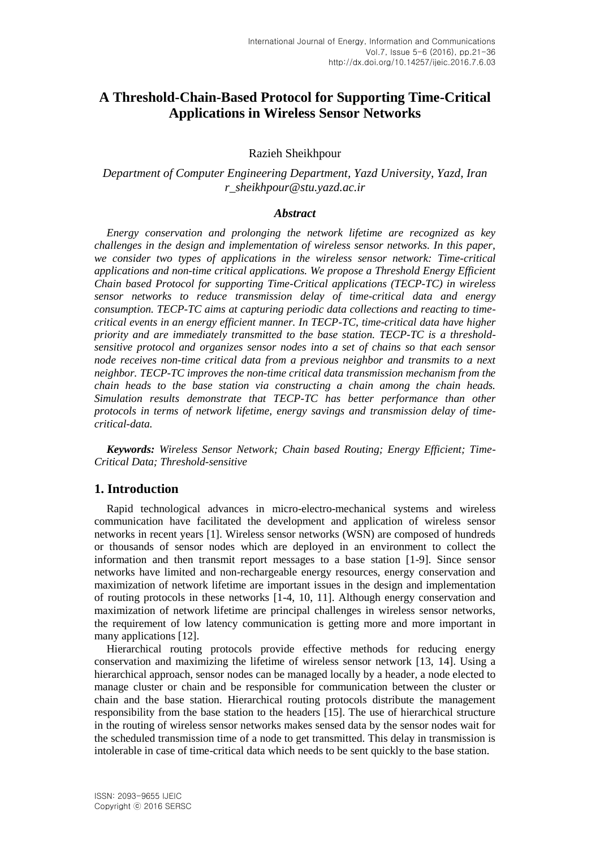# **A Threshold-Chain-Based Protocol for Supporting Time-Critical Applications in Wireless Sensor Networks**

### Razieh Sheikhpour

## *Department of Computer Engineering Department, Yazd University, Yazd, Iran r\_sheikhpour@stu.yazd.ac.ir*

### *Abstract*

*Energy conservation and prolonging the network lifetime are recognized as key challenges in the design and implementation of wireless sensor networks. In this paper, we consider two types of applications in the wireless sensor network: Time-critical applications and non-time critical applications. We propose a Threshold Energy Efficient Chain based Protocol for supporting Time-Critical applications (TECP-TC) in wireless sensor networks to reduce transmission delay of time-critical data and energy consumption. TECP-TC aims at capturing periodic data collections and reacting to timecritical events in an energy efficient manner. In TECP-TC, time-critical data have higher priority and are immediately transmitted to the base station. TECP-TC is a thresholdsensitive protocol and organizes sensor nodes into a set of chains so that each sensor node receives non-time critical data from a previous neighbor and transmits to a next neighbor. TECP-TC improves the non-time critical data transmission mechanism from the chain heads to the base station via constructing a chain among the chain heads. Simulation results demonstrate that TECP-TC has better performance than other protocols in terms of network lifetime, energy savings and transmission delay of timecritical-data.*

*Keywords: Wireless Sensor Network; Chain based Routing; Energy Efficient; Time-Critical Data; Threshold-sensitive*

### **1. Introduction**

Rapid technological advances in micro-electro-mechanical systems and wireless communication have facilitated the development and application of wireless sensor networks in recent years [1]. Wireless sensor networks (WSN) are composed of hundreds or thousands of sensor nodes which are deployed in an environment to collect the information and then transmit report messages to a base station [1-9]. Since sensor networks have limited and non-rechargeable energy resources, energy conservation and maximization of network lifetime are important issues in the design and implementation of routing protocols in these networks [1-4, 10, 11]. Although energy conservation and maximization of network lifetime are principal challenges in wireless sensor networks, the requirement of low latency communication is getting more and more important in many applications [12].

Hierarchical routing protocols provide effective methods for reducing energy conservation and maximizing the lifetime of wireless sensor network [13, 14]. Using a hierarchical approach, sensor nodes can be managed locally by a header, a node elected to manage cluster or chain and be responsible for communication between the cluster or chain and the base station. Hierarchical routing protocols distribute the management responsibility from the base station to the headers [15]. The use of hierarchical structure in the routing of wireless sensor networks makes sensed data by the sensor nodes wait for the scheduled transmission time of a node to get transmitted. This delay in transmission is intolerable in case of time-critical data which needs to be sent quickly to the base station.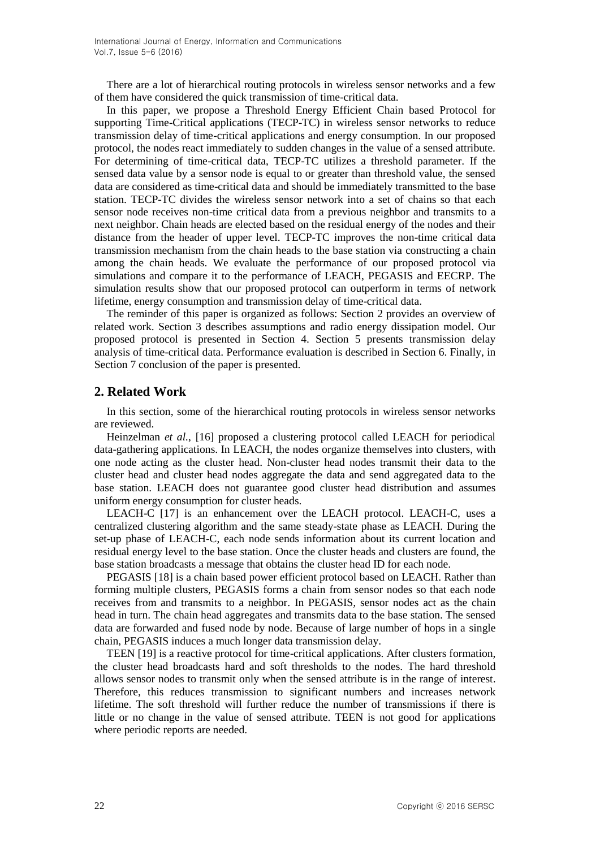There are a lot of hierarchical routing protocols in wireless sensor networks and a few of them have considered the quick transmission of time-critical data.

In this paper, we propose a Threshold Energy Efficient Chain based Protocol for supporting Time-Critical applications (TECP-TC) in wireless sensor networks to reduce transmission delay of time-critical applications and energy consumption. In our proposed protocol, the nodes react immediately to sudden changes in the value of a sensed attribute. For determining of time-critical data, TECP-TC utilizes a threshold parameter. If the sensed data value by a sensor node is equal to or greater than threshold value, the sensed data are considered as time-critical data and should be immediately transmitted to the base station. TECP-TC divides the wireless sensor network into a set of chains so that each sensor node receives non-time critical data from a previous neighbor and transmits to a next neighbor. Chain heads are elected based on the residual energy of the nodes and their distance from the header of upper level. TECP-TC improves the non-time critical data transmission mechanism from the chain heads to the base station via constructing a chain among the chain heads. We evaluate the performance of our proposed protocol via simulations and compare it to the performance of LEACH, PEGASIS and EECRP. The simulation results show that our proposed protocol can outperform in terms of network lifetime, energy consumption and transmission delay of time-critical data.

The reminder of this paper is organized as follows: Section 2 provides an overview of related work. Section 3 describes assumptions and radio energy dissipation model. Our proposed protocol is presented in Section 4. Section 5 presents transmission delay analysis of time-critical data. Performance evaluation is described in Section 6. Finally, in Section 7 conclusion of the paper is presented.

## **2. Related Work**

In this section, some of the hierarchical routing protocols in wireless sensor networks are reviewed.

Heinzelman *et al.*, [16] proposed a clustering protocol called LEACH for periodical data-gathering applications. In LEACH, the nodes organize themselves into clusters, with one node acting as the cluster head. Non-cluster head nodes transmit their data to the cluster head and cluster head nodes aggregate the data and send aggregated data to the base station. LEACH does not guarantee good cluster head distribution and assumes uniform energy consumption for cluster heads.

LEACH-C [17] is an enhancement over the LEACH protocol. LEACH-C, uses a centralized clustering algorithm and the same steady-state phase as LEACH. During the set-up phase of LEACH-C, each node sends information about its current location and residual energy level to the base station. Once the cluster heads and clusters are found, the base station broadcasts a message that obtains the cluster head ID for each node.

PEGASIS [18] is a chain based power efficient protocol based on LEACH. Rather than forming multiple clusters, PEGASIS forms a chain from sensor nodes so that each node receives from and transmits to a neighbor. In PEGASIS*,* sensor nodes act as the chain head in turn. The chain head aggregates and transmits data to the base station. The sensed data are forwarded and fused node by node. Because of large number of hops in a single chain, PEGASIS induces a much longer data transmission delay.

TEEN [19] is a reactive protocol for time-critical applications. After clusters formation, the cluster head broadcasts hard and soft thresholds to the nodes. The hard threshold allows sensor nodes to transmit only when the sensed attribute is in the range of interest. Therefore, this reduces transmission to significant numbers and increases network lifetime. The soft threshold will further reduce the number of transmissions if there is little or no change in the value of sensed attribute. TEEN is not good for applications where periodic reports are needed.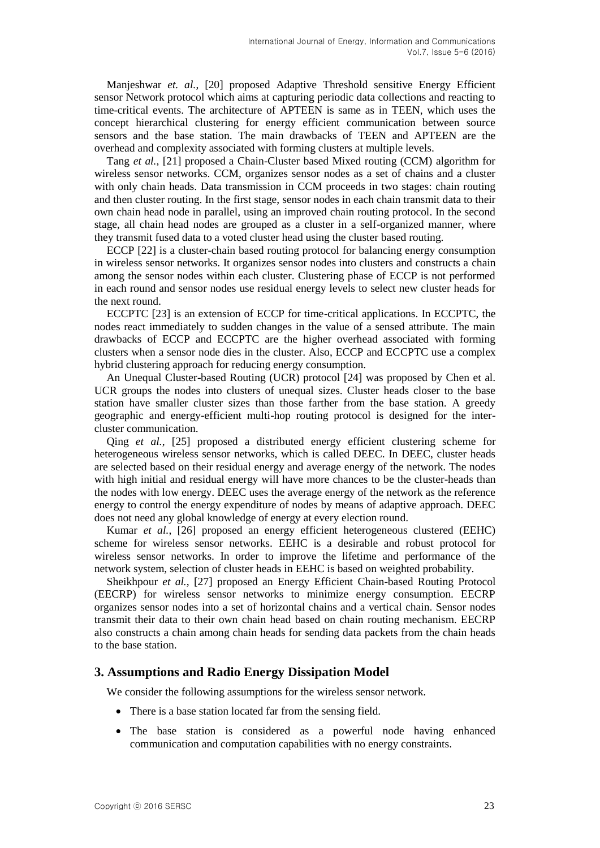Manjeshwar *et. al.*, [20] proposed Adaptive Threshold sensitive Energy Efficient sensor Network protocol which aims at capturing periodic data collections and reacting to time-critical events. The architecture of APTEEN is same as in TEEN, which uses the concept hierarchical clustering for energy efficient communication between source sensors and the base station. The main drawbacks of TEEN and APTEEN are the overhead and complexity associated with forming clusters at multiple levels.

Tang *et al.*, [21] proposed a Chain-Cluster based Mixed routing (CCM) algorithm for wireless sensor networks. CCM, organizes sensor nodes as a set of chains and a cluster with only chain heads. Data transmission in CCM proceeds in two stages: chain routing and then cluster routing. In the first stage, sensor nodes in each chain transmit data to their own chain head node in parallel, using an improved chain routing protocol. In the second stage, all chain head nodes are grouped as a cluster in a self-organized manner, where they transmit fused data to a voted cluster head using the cluster based routing.

ECCP [22] is a cluster-chain based routing protocol for balancing energy consumption in wireless sensor networks. It organizes sensor nodes into clusters and constructs a chain among the sensor nodes within each cluster. Clustering phase of ECCP is not performed in each round and sensor nodes use residual energy levels to select new cluster heads for the next round.

ECCPTC [23] is an extension of ECCP for time-critical applications. In ECCPTC, the nodes react immediately to sudden changes in the value of a sensed attribute. The main drawbacks of ECCP and ECCPTC are the higher overhead associated with forming clusters when a sensor node dies in the cluster. Also, ECCP and ECCPTC use a complex hybrid clustering approach for reducing energy consumption.

An Unequal Cluster-based Routing (UCR) protocol [24] was proposed by Chen et al. UCR groups the nodes into clusters of unequal sizes. Cluster heads closer to the base station have smaller cluster sizes than those farther from the base station. A greedy geographic and energy-efficient multi-hop routing protocol is designed for the intercluster communication.

Qing *et al.*, [25] proposed a distributed energy efficient clustering scheme for heterogeneous wireless sensor networks, which is called DEEC. In DEEC, cluster heads are selected based on their residual energy and average energy of the network. The nodes with high initial and residual energy will have more chances to be the cluster-heads than the nodes with low energy. DEEC uses the average energy of the network as the reference energy to control the energy expenditure of nodes by means of adaptive approach. DEEC does not need any global knowledge of energy at every election round.

Kumar *et al.*, [26] proposed an energy efficient heterogeneous clustered (EEHC) scheme for wireless sensor networks. EEHC is a desirable and robust protocol for wireless sensor networks. In order to improve the lifetime and performance of the network system, selection of cluster heads in EEHC is based on weighted probability.

Sheikhpour *et al.*, [27] proposed an Energy Efficient Chain-based Routing Protocol (EECRP) for wireless sensor networks to minimize energy consumption. EECRP organizes sensor nodes into a set of horizontal chains and a vertical chain. Sensor nodes transmit their data to their own chain head based on chain routing mechanism. EECRP also constructs a chain among chain heads for sending data packets from the chain heads to the base station.

## **3. Assumptions and Radio Energy Dissipation Model**

We consider the following assumptions for the wireless sensor network.

- There is a base station located far from the sensing field.
- The base station is considered as a powerful node having enhanced communication and computation capabilities with no energy constraints.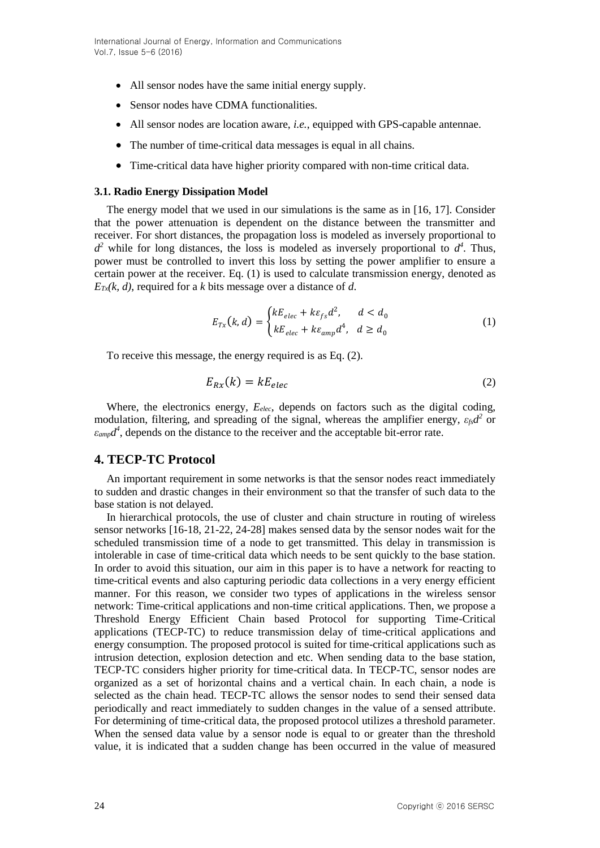- All sensor nodes have the same initial energy supply.
- Sensor nodes have CDMA functionalities.
- All sensor nodes are location aware, *i.e.*, equipped with GPS-capable antennae.
- The number of time-critical data messages is equal in all chains.
- Time-critical data have higher priority compared with non-time critical data.

### **3.1. Radio Energy Dissipation Model**

The energy model that we used in our simulations is the same as in [16, 17]. Consider that the power attenuation is dependent on the distance between the transmitter and receiver. For short distances, the propagation loss is modeled as inversely proportional to  $d^2$  while for long distances, the loss is modeled as inversely proportional to  $d^4$ . Thus, power must be controlled to invert this loss by setting the power amplifier to ensure a certain power at the receiver. Eq. (1) is used to calculate transmission energy, denoted as  $E_{\text{Tx}}(k, d)$ , required for a *k* bits message over a distance of *d*.

$$
E_{Tx}(k,d) = \begin{cases} kE_{elec} + k\varepsilon_{fs}d^2, & d < d_0\\ kE_{elec} + k\varepsilon_{amp}d^4, & d \ge d_0 \end{cases}
$$
 (1)

To receive this message, the energy required is as Eq. (2).

$$
E_{Rx}(k) = kE_{elec} \tag{2}
$$

Where, the electronics energy*, Eelec*, depends on factors such as the digital coding, modulation, filtering, and spreading of the signal, whereas the amplifier energy, *εfsd 2* or  $\varepsilon_{amp}d^4$ , depends on the distance to the receiver and the acceptable bit-error rate.

## **4. TECP-TC Protocol**

An important requirement in some networks is that the sensor nodes react immediately to sudden and drastic changes in their environment so that the transfer of such data to the base station is not delayed.

In hierarchical protocols, the use of cluster and chain structure in routing of wireless sensor networks [16-18, 21-22, 24-28] makes sensed data by the sensor nodes wait for the scheduled transmission time of a node to get transmitted. This delay in transmission is intolerable in case of time-critical data which needs to be sent quickly to the base station. In order to avoid this situation, our aim in this paper is to have a network for reacting to time-critical events and also capturing periodic data collections in a very energy efficient manner. For this reason, we consider two types of applications in the wireless sensor network: Time-critical applications and non-time critical applications. Then, we propose a Threshold Energy Efficient Chain based Protocol for supporting Time-Critical applications (TECP-TC) to reduce transmission delay of time-critical applications and energy consumption. The proposed protocol is suited for time-critical applications such as intrusion detection, explosion detection and etc. When sending data to the base station, TECP-TC considers higher priority for time-critical data. In TECP-TC, sensor nodes are organized as a set of horizontal chains and a vertical chain. In each chain, a node is selected as the chain head. TECP-TC allows the sensor nodes to send their sensed data periodically and react immediately to sudden changes in the value of a sensed attribute. For determining of time-critical data, the proposed protocol utilizes a threshold parameter. When the sensed data value by a sensor node is equal to or greater than the threshold value, it is indicated that a sudden change has been occurred in the value of measured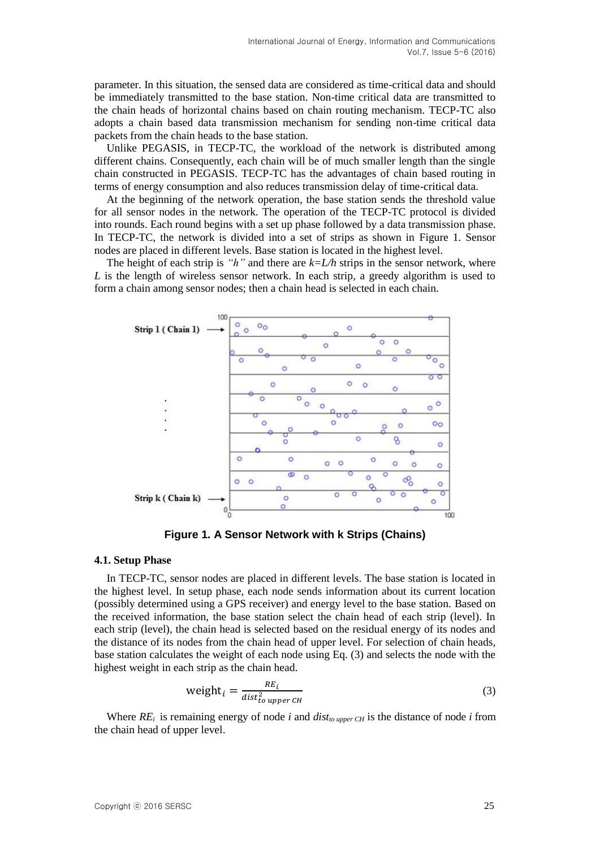parameter. In this situation, the sensed data are considered as time-critical data and should be immediately transmitted to the base station. Non-time critical data are transmitted to the chain heads of horizontal chains based on chain routing mechanism. TECP-TC also adopts a chain based data transmission mechanism for sending non-time critical data packets from the chain heads to the base station.

Unlike PEGASIS, in TECP-TC, the workload of the network is distributed among different chains. Consequently, each chain will be of much smaller length than the single chain constructed in PEGASIS. TECP-TC has the advantages of chain based routing in terms of energy consumption and also reduces transmission delay of time-critical data.

At the beginning of the network operation, the base station sends the threshold value for all sensor nodes in the network. The operation of the TECP-TC protocol is divided into rounds. Each round begins with a set up phase followed by a data transmission phase. In TECP-TC, the network is divided into a set of strips as shown in Figure 1. Sensor nodes are placed in different levels. Base station is located in the highest level.

The height of each strip is *"h"* and there are  $k=L/h$  strips in the sensor network, where *L* is the length of wireless sensor network. In each strip, a greedy algorithm is used to form a chain among sensor nodes; then a chain head is selected in each chain.



**Figure 1. A Sensor Network with k Strips (Chains)**

#### **4.1. Setup Phase**

In TECP-TC, sensor nodes are placed in different levels. The base station is located in the highest level. In setup phase, each node sends information about its current location (possibly determined using a GPS receiver) and energy level to the base station. Based on the received information, the base station select the chain head of each strip (level). In each strip (level), the chain head is selected based on the residual energy of its nodes and the distance of its nodes from the chain head of upper level. For selection of chain heads, base station calculates the weight of each node using Eq. (3) and selects the node with the highest weight in each strip as the chain head.

$$
weight_i = \frac{RE_i}{dist_{to\ upper\ CH}^2}
$$
 (3)

Where  $RE_i$  is remaining energy of node *i* and  $dist_{to \text{ upper CH}}$  is the distance of node *i* from the chain head of upper level.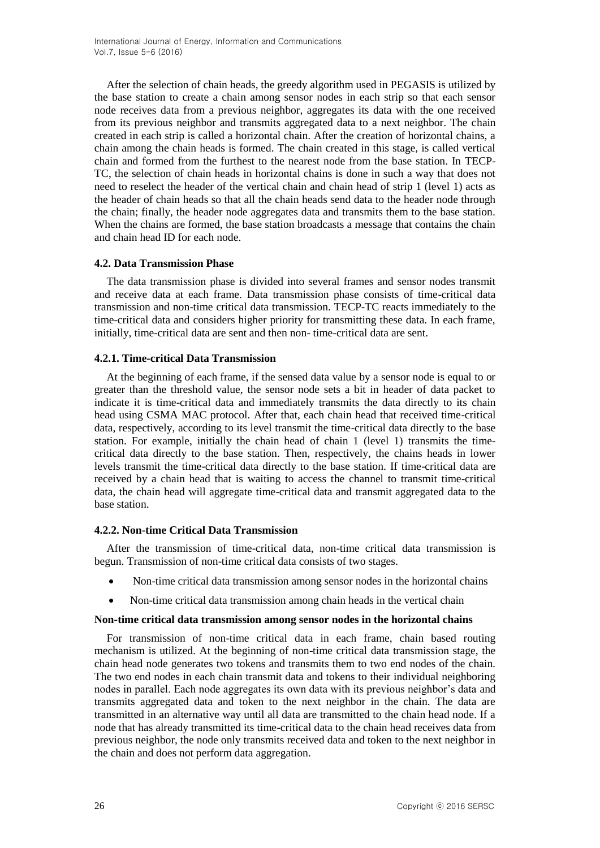After the selection of chain heads, the greedy algorithm used in PEGASIS is utilized by the base station to create a chain among sensor nodes in each strip so that each sensor node receives data from a previous neighbor, aggregates its data with the one received from its previous neighbor and transmits aggregated data to a next neighbor. The chain created in each strip is called a horizontal chain. After the creation of horizontal chains, a chain among the chain heads is formed. The chain created in this stage, is called vertical chain and formed from the furthest to the nearest node from the base station. In TECP-TC, the selection of chain heads in horizontal chains is done in such a way that does not need to reselect the header of the vertical chain and chain head of strip 1 (level 1) acts as the header of chain heads so that all the chain heads send data to the header node through the chain; finally, the header node aggregates data and transmits them to the base station. When the chains are formed, the base station broadcasts a message that contains the chain and chain head ID for each node.

### **4.2. Data Transmission Phase**

The data transmission phase is divided into several frames and sensor nodes transmit and receive data at each frame. Data transmission phase consists of time-critical data transmission and non-time critical data transmission. TECP-TC reacts immediately to the time-critical data and considers higher priority for transmitting these data. In each frame, initially, time-critical data are sent and then non- time-critical data are sent.

### **4.2.1. Time-critical Data Transmission**

At the beginning of each frame, if the sensed data value by a sensor node is equal to or greater than the threshold value, the sensor node sets a bit in header of data packet to indicate it is time-critical data and immediately transmits the data directly to its chain head using CSMA MAC protocol. After that, each chain head that received time-critical data, respectively, according to its level transmit the time-critical data directly to the base station. For example, initially the chain head of chain 1 (level 1) transmits the timecritical data directly to the base station. Then, respectively, the chains heads in lower levels transmit the time-critical data directly to the base station. If time-critical data are received by a chain head that is waiting to access the channel to transmit time-critical data, the chain head will aggregate time-critical data and transmit aggregated data to the base station.

### **4.2.2. Non-time Critical Data Transmission**

After the transmission of time-critical data, non-time critical data transmission is begun. Transmission of non-time critical data consists of two stages.

- Non-time critical data transmission among sensor nodes in the horizontal chains
- Non-time critical data transmission among chain heads in the vertical chain

### **Non-time critical data transmission among sensor nodes in the horizontal chains**

For transmission of non-time critical data in each frame, chain based routing mechanism is utilized. At the beginning of non-time critical data transmission stage, the chain head node generates two tokens and transmits them to two end nodes of the chain. The two end nodes in each chain transmit data and tokens to their individual neighboring nodes in parallel. Each node aggregates its own data with its previous neighbor's data and transmits aggregated data and token to the next neighbor in the chain. The data are transmitted in an alternative way until all data are transmitted to the chain head node. If a node that has already transmitted its time-critical data to the chain head receives data from previous neighbor, the node only transmits received data and token to the next neighbor in the chain and does not perform data aggregation.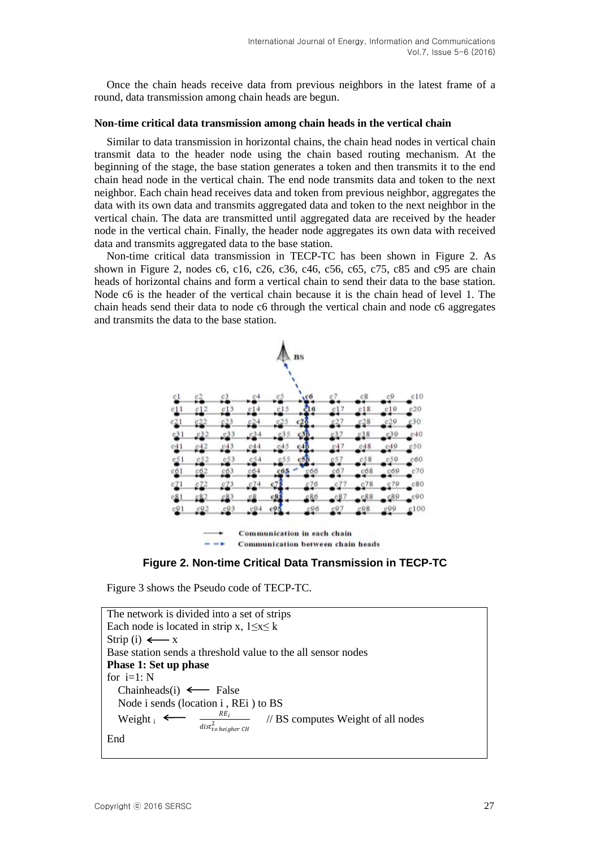Once the chain heads receive data from previous neighbors in the latest frame of a round, data transmission among chain heads are begun.

#### **Non-time critical data transmission among chain heads in the vertical chain**

Similar to data transmission in horizontal chains, the chain head nodes in vertical chain transmit data to the header node using the chain based routing mechanism. At the beginning of the stage, the base station generates a token and then transmits it to the end chain head node in the vertical chain. The end node transmits data and token to the next neighbor. Each chain head receives data and token from previous neighbor, aggregates the data with its own data and transmits aggregated data and token to the next neighbor in the vertical chain. The data are transmitted until aggregated data are received by the header node in the vertical chain. Finally, the header node aggregates its own data with received data and transmits aggregated data to the base station.

Non-time critical data transmission in TECP-TC has been shown in Figure 2. As shown in Figure 2, nodes c6, c16, c26, c36, c46, c56, c65, c75, c85 and c95 are chain heads of horizontal chains and form a vertical chain to send their data to the base station. Node c6 is the header of the vertical chain because it is the chain head of level 1. The chain heads send their data to node c6 through the vertical chain and node c6 aggregates and transmits the data to the base station.



**Figure 2. Non-time Critical Data Transmission in TECP-TC**

Figure 3 shows the Pseudo code of TECP-TC.

```
The network is divided into a set of strips
Each node is located in strip x, 1 \le x \le kStrip (i) \longleftarrow x
Base station sends a threshold value to the all sensor nodes
Phase 1: Set up phase
for i=1: NChainheads(i) \leftarrow False
    Node i sends (location i , REi ) to BS 
   Weight \simRE_i\emph{dist}_{to}^{2} heigher CH
                                         // BS computes Weight of all nodes 
End
```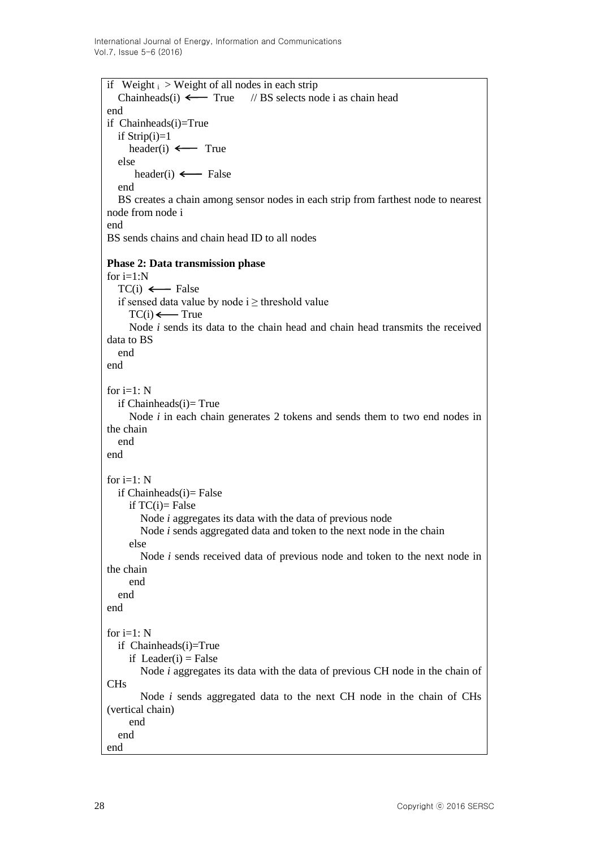if Weight  $\mathrm{i} >$  Weight of all nodes in each strip Chainheads(i)  $\longleftarrow$  True // BS selects node i as chain head end if Chainheads(i)=True if  $Strip(i)=1$ header(i)  $\leftarrow$  True else header(i)  $\leftarrow$  False end BS creates a chain among sensor nodes in each strip from farthest node to nearest node from node i end BS sends chains and chain head ID to all nodes **Phase 2: Data transmission phase** for  $i=1:N$  $TC(i) \leftarrow$  False if sensed data value by node  $i \geq$  threshold value  $TC(i) \longleftarrow True$  Node *i* sends its data to the chain head and chain head transmits the received data to BS end end for  $i=1$ : N if  $Chainheads(i)=True$  Node *i* in each chain generates 2 tokens and sends them to two end nodes in the chain end end for  $i=1: N$ if  $Chainheads(i)= False$ if  $TC(i)$ = False Node *i* aggregates its data with the data of previous node Node *i* sends aggregated data and token to the next node in the chain else Node *i* sends received data of previous node and token to the next node in the chain end end end for  $i=1: N$  if Chainheads(i)=True if Leader(i) = False Node *i* aggregates its data with the data of previous CH node in the chain of CHs Node *i* sends aggregated data to the next CH node in the chain of CHs (vertical chain) end end end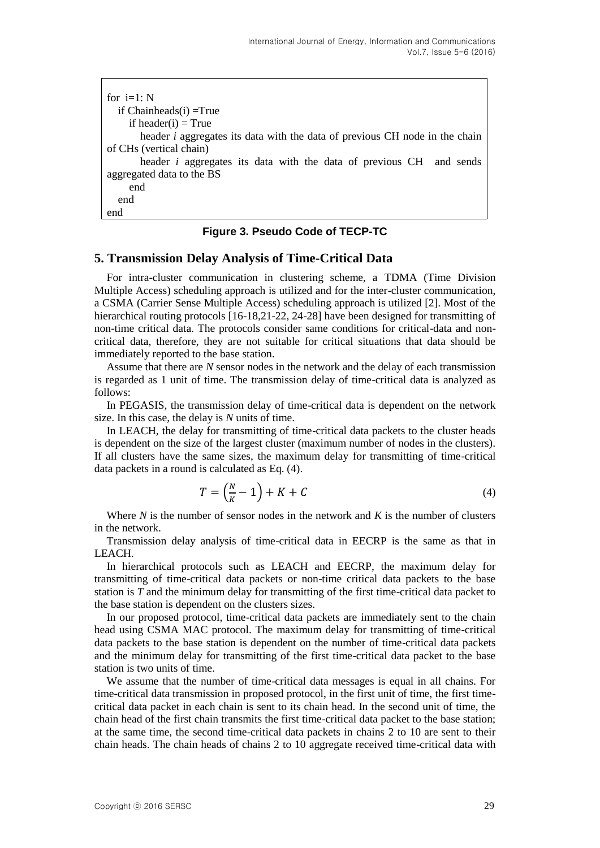| for $i=1: N$                                                                       |
|------------------------------------------------------------------------------------|
| if $Chainheads(i) = True$                                                          |
| if header(i) = True                                                                |
| header <i>i</i> aggregates its data with the data of previous CH node in the chain |
| of CHs (vertical chain)                                                            |
| header <i>i</i> aggregates its data with the data of previous CH and sends         |
| aggregated data to the BS                                                          |
| end                                                                                |
| end                                                                                |
| end                                                                                |

## **Figure 3. Pseudo Code of TECP-TC**

## **5. Transmission Delay Analysis of Time-Critical Data**

For intra-cluster communication in clustering scheme, a TDMA (Time Division Multiple Access) scheduling approach is utilized and for the inter-cluster communication, a CSMA (Carrier Sense Multiple Access) scheduling approach is utilized [2]. Most of the hierarchical routing protocols [16-18.21-22, 24-28] have been designed for transmitting of non-time critical data. The protocols consider same conditions for critical-data and noncritical data, therefore, they are not suitable for critical situations that data should be immediately reported to the base station.

Assume that there are *N* sensor nodes in the network and the delay of each transmission is regarded as 1 unit of time. The transmission delay of time-critical data is analyzed as follows:

In PEGASIS, the transmission delay of time-critical data is dependent on the network size. In this case, the delay is *N* units of time.

In LEACH, the delay for transmitting of time-critical data packets to the cluster heads is dependent on the size of the largest cluster (maximum number of nodes in the clusters). If all clusters have the same sizes, the maximum delay for transmitting of time-critical data packets in a round is calculated as Eq. (4).

$$
T = \left(\frac{N}{K} - 1\right) + K + C\tag{4}
$$

Where *N* is the number of sensor nodes in the network and *K* is the number of clusters in the network.

Transmission delay analysis of time-critical data in EECRP is the same as that in LEACH.

In hierarchical protocols such as LEACH and EECRP, the maximum delay for transmitting of time-critical data packets or non-time critical data packets to the base station is *T* and the minimum delay for transmitting of the first time-critical data packet to the base station is dependent on the clusters sizes.

In our proposed protocol, time-critical data packets are immediately sent to the chain head using CSMA MAC protocol. The maximum delay for transmitting of time-critical data packets to the base station is dependent on the number of time-critical data packets and the minimum delay for transmitting of the first time-critical data packet to the base station is two units of time.

We assume that the number of time-critical data messages is equal in all chains. For time-critical data transmission in proposed protocol, in the first unit of time, the first timecritical data packet in each chain is sent to its chain head. In the second unit of time, the chain head of the first chain transmits the first time-critical data packet to the base station; at the same time, the second time-critical data packets in chains 2 to 10 are sent to their chain heads. The chain heads of chains 2 to 10 aggregate received time-critical data with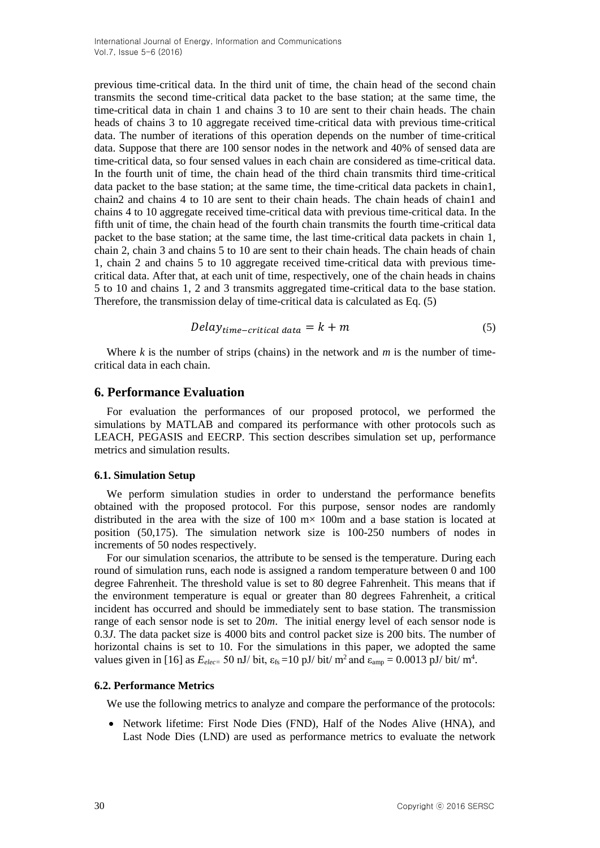previous time-critical data. In the third unit of time, the chain head of the second chain transmits the second time-critical data packet to the base station; at the same time, the time-critical data in chain 1 and chains 3 to 10 are sent to their chain heads. The chain heads of chains 3 to 10 aggregate received time-critical data with previous time-critical data. The number of iterations of this operation depends on the number of time-critical data. Suppose that there are 100 sensor nodes in the network and 40% of sensed data are time-critical data, so four sensed values in each chain are considered as time-critical data. In the fourth unit of time, the chain head of the third chain transmits third time-critical data packet to the base station; at the same time, the time-critical data packets in chain1, chain2 and chains 4 to 10 are sent to their chain heads. The chain heads of chain1 and chains 4 to 10 aggregate received time-critical data with previous time-critical data. In the fifth unit of time, the chain head of the fourth chain transmits the fourth time-critical data packet to the base station; at the same time, the last time-critical data packets in chain 1, chain 2, chain 3 and chains 5 to 10 are sent to their chain heads. The chain heads of chain 1, chain 2 and chains 5 to 10 aggregate received time-critical data with previous timecritical data. After that, at each unit of time, respectively, one of the chain heads in chains 5 to 10 and chains 1, 2 and 3 transmits aggregated time-critical data to the base station. Therefore, the transmission delay of time-critical data is calculated as Eq. (5)

$$
Delay_{time-critical\ data} = k + m \tag{5}
$$

Where  $k$  is the number of strips (chains) in the network and  $m$  is the number of timecritical data in each chain.

## **6. Performance Evaluation**

For evaluation the performances of our proposed protocol, we performed the simulations by MATLAB and compared its performance with other protocols such as LEACH, PEGASIS and EECRP. This section describes simulation set up, performance metrics and simulation results.

### **6.1. Simulation Setup**

We perform simulation studies in order to understand the performance benefits obtained with the proposed protocol. For this purpose, sensor nodes are randomly distributed in the area with the size of  $100 \text{ m} \times 100 \text{ m}$  and a base station is located at position (50,175). The simulation network size is 100-250 numbers of nodes in increments of 50 nodes respectively.

For our simulation scenarios, the attribute to be sensed is the temperature. During each round of simulation runs, each node is assigned a random temperature between 0 and 100 degree Fahrenheit. The threshold value is set to 80 degree Fahrenheit. This means that if the environment temperature is equal or greater than 80 degrees Fahrenheit, a critical incident has occurred and should be immediately sent to base station. The transmission range of each sensor node is set to 20*m*. The initial energy level of each sensor node is 0.3*J*. The data packet size is 4000 bits and control packet size is 200 bits. The number of horizontal chains is set to 10. For the simulations in this paper, we adopted the same values given in [16] as  $E_{elec} = 50$  nJ/ bit,  $\varepsilon_{fs} = 10$  pJ/ bit/ m<sup>2</sup> and  $\varepsilon_{amp} = 0.0013$  pJ/ bit/ m<sup>4</sup>.

### **6.2. Performance Metrics**

We use the following metrics to analyze and compare the performance of the protocols:

• Network lifetime: First Node Dies (FND), Half of the Nodes Alive (HNA), and Last Node Dies (LND) are used as performance metrics to evaluate the network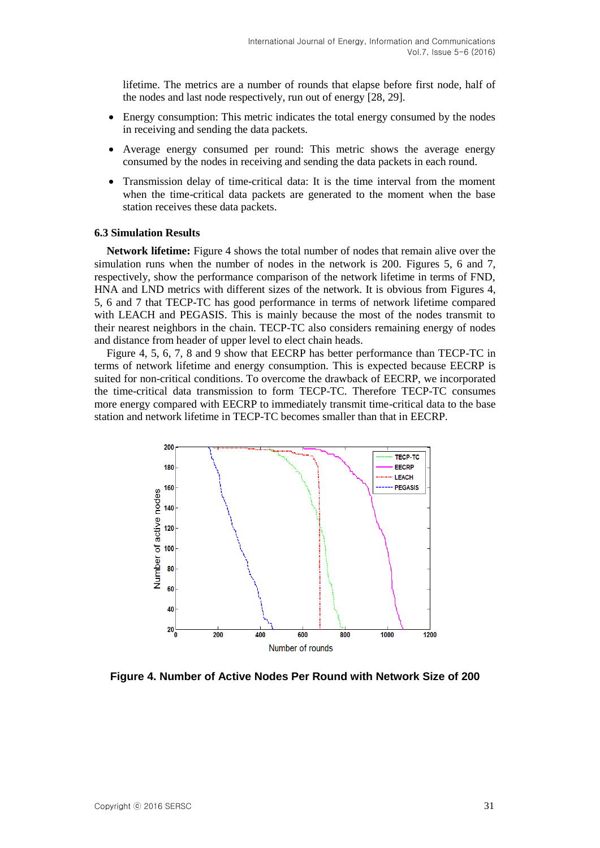lifetime. The metrics are a number of rounds that elapse before first node, half of the nodes and last node respectively, run out of energy [28, 29].

- Energy consumption: This metric indicates the total energy consumed by the nodes in receiving and sending the data packets.
- Average energy consumed per round: This metric shows the average energy consumed by the nodes in receiving and sending the data packets in each round.
- Transmission delay of time-critical data: It is the time interval from the moment when the time-critical data packets are generated to the moment when the base station receives these data packets.

### **6.3 Simulation Results**

**Network lifetime:** Figure 4 shows the total number of nodes that remain alive over the simulation runs when the number of nodes in the network is 200. Figures 5, 6 and 7, respectively, show the performance comparison of the network lifetime in terms of FND, HNA and LND metrics with different sizes of the network. It is obvious from Figures 4, 5, 6 and 7 that TECP-TC has good performance in terms of network lifetime compared with LEACH and PEGASIS. This is mainly because the most of the nodes transmit to their nearest neighbors in the chain. TECP-TC also considers remaining energy of nodes and distance from header of upper level to elect chain heads.

Figure 4, 5, 6, 7, 8 and 9 show that EECRP has better performance than TECP-TC in terms of network lifetime and energy consumption. This is expected because EECRP is suited for non-critical conditions. To overcome the drawback of EECRP, we incorporated the time-critical data transmission to form TECP-TC. Therefore TECP-TC consumes more energy compared with EECRP to immediately transmit time-critical data to the base station and network lifetime in TECP-TC becomes smaller than that in EECRP.



**Figure 4. Number of Active Nodes Per Round with Network Size of 200**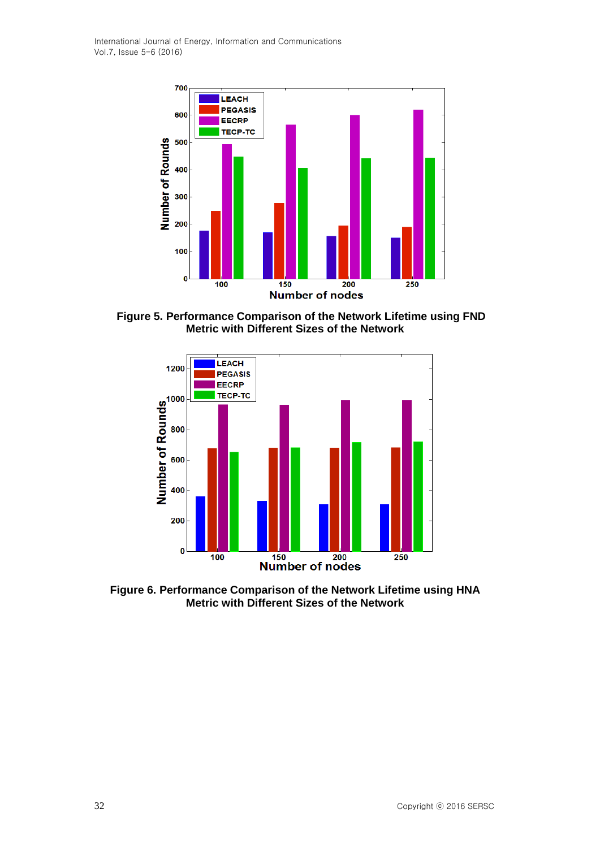International Journal of Energy, Information and Communications Vol.7, Issue 5-6 (2016)



**Figure 5. Performance Comparison of the Network Lifetime using FND Metric with Different Sizes of the Network**



**Figure 6. Performance Comparison of the Network Lifetime using HNA Metric with Different Sizes of the Network**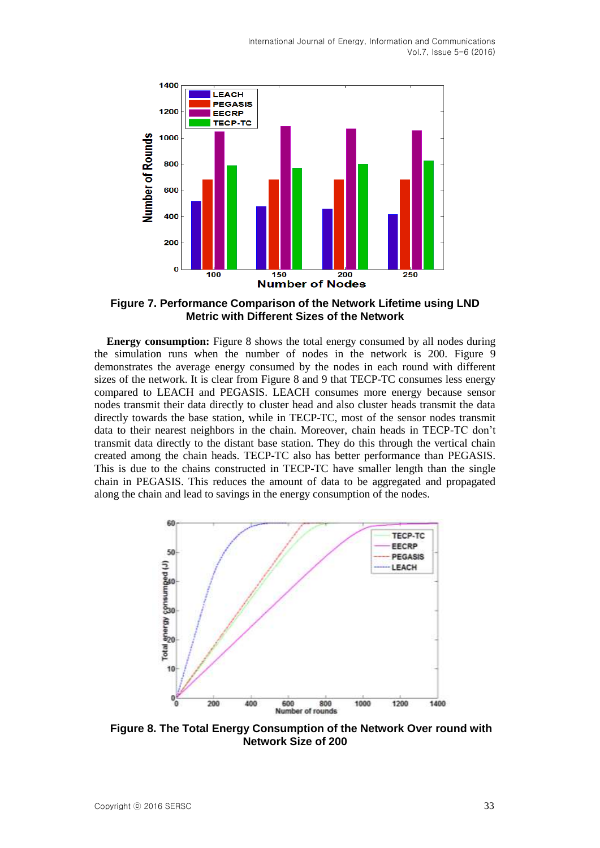

**Figure 7. Performance Comparison of the Network Lifetime using LND Metric with Different Sizes of the Network**

**Energy consumption:** Figure 8 shows the total energy consumed by all nodes during the simulation runs when the number of nodes in the network is 200. Figure 9 demonstrates the average energy consumed by the nodes in each round with different sizes of the network. It is clear from Figure 8 and 9 that TECP-TC consumes less energy compared to LEACH and PEGASIS. LEACH consumes more energy because sensor nodes transmit their data directly to cluster head and also cluster heads transmit the data directly towards the base station, while in TECP-TC, most of the sensor nodes transmit data to their nearest neighbors in the chain. Moreover, chain heads in TECP-TC don't transmit data directly to the distant base station. They do this through the vertical chain created among the chain heads. TECP-TC also has better performance than PEGASIS. This is due to the chains constructed in TECP-TC have smaller length than the single chain in PEGASIS. This reduces the amount of data to be aggregated and propagated along the chain and lead to savings in the energy consumption of the nodes.



**Figure 8. The Total Energy Consumption of the Network Over round with Network Size of 200**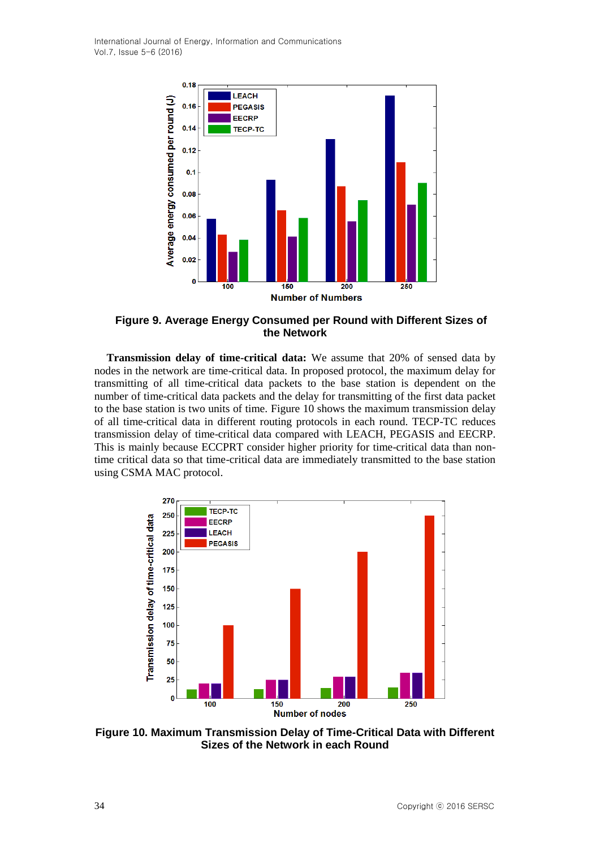International Journal of Energy, Information and Communications Vol.7, Issue 5-6 (2016)



**Figure 9. Average Energy Consumed per Round with Different Sizes of the Network**

**Transmission delay of time-critical data:** We assume that 20% of sensed data by nodes in the network are time-critical data. In proposed protocol, the maximum delay for transmitting of all time-critical data packets to the base station is dependent on the number of time-critical data packets and the delay for transmitting of the first data packet to the base station is two units of time. Figure 10 shows the maximum transmission delay of all time-critical data in different routing protocols in each round. TECP-TC reduces transmission delay of time-critical data compared with LEACH, PEGASIS and EECRP. This is mainly because ECCPRT consider higher priority for time-critical data than nontime critical data so that time-critical data are immediately transmitted to the base station using CSMA MAC protocol.



**Figure 10. Maximum Transmission Delay of Time-Critical Data with Different Sizes of the Network in each Round**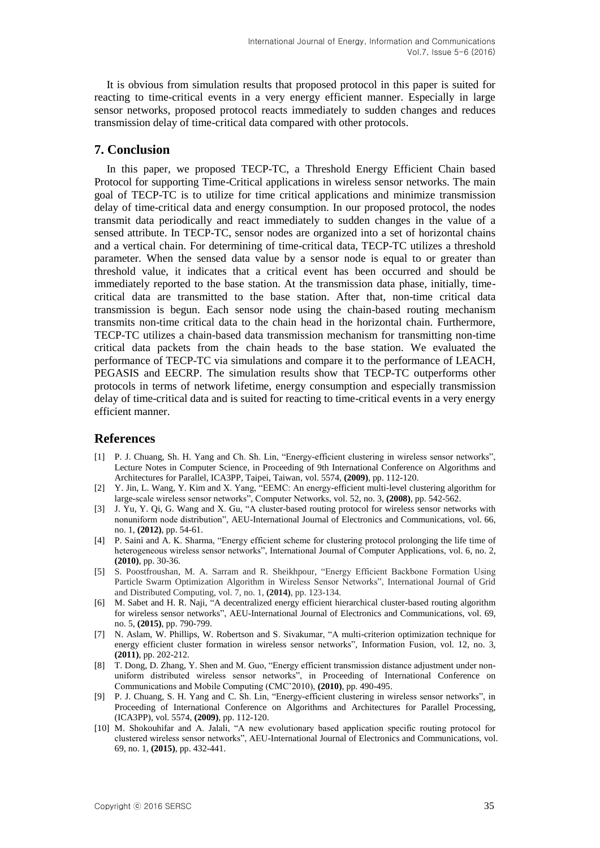It is obvious from simulation results that proposed protocol in this paper is suited for reacting to time-critical events in a very energy efficient manner. Especially in large sensor networks, proposed protocol reacts immediately to sudden changes and reduces transmission delay of time-critical data compared with other protocols.

## **7. Conclusion**

In this paper, we proposed TECP-TC, a Threshold Energy Efficient Chain based Protocol for supporting Time-Critical applications in wireless sensor networks. The main goal of TECP-TC is to utilize for time critical applications and minimize transmission delay of time-critical data and energy consumption. In our proposed protocol, the nodes transmit data periodically and react immediately to sudden changes in the value of a sensed attribute. In TECP-TC, sensor nodes are organized into a set of horizontal chains and a vertical chain. For determining of time-critical data, TECP-TC utilizes a threshold parameter. When the sensed data value by a sensor node is equal to or greater than threshold value, it indicates that a critical event has been occurred and should be immediately reported to the base station. At the transmission data phase, initially, timecritical data are transmitted to the base station. After that, non-time critical data transmission is begun. Each sensor node using the chain-based routing mechanism transmits non-time critical data to the chain head in the horizontal chain. Furthermore, TECP-TC utilizes a chain-based data transmission mechanism for transmitting non-time critical data packets from the chain heads to the base station. We evaluated the performance of TECP-TC via simulations and compare it to the performance of LEACH, PEGASIS and EECRP. The simulation results show that TECP-TC outperforms other protocols in terms of network lifetime, energy consumption and especially transmission delay of time-critical data and is suited for reacting to time-critical events in a very energy efficient manner.

## **References**

- [1] P. J. Chuang, Sh. H. Yang and Ch. Sh. Lin, "Energy-efficient clustering in wireless sensor networks", [Lecture Notes in Computer Science,](http://www.springerlink.com/content/0302-9743/) in Proceeding of 9th International Conference on Algorithms and Architectures for Parallel, ICA3PP, Taipei, Taiwan, vol. 5574, **(2009)**, pp. 112-120.
- [2] Y. Jin, L. Wang, Y. Kim and X. Yang, "EEMC: An energy-efficient multi-level clustering algorithm for large-scale wireless sensor networks", Computer Networks, vol. 52, no. 3, **(2008)**, pp. 542-562.
- [3] J. Yu, Y. Qi, G. Wang and X. Gu, "A cluster-based routing protocol for wireless sensor networks with nonuniform node distribution", AEU-International Journal of Electronics and Communications, vol. 66, no. 1, **(2012)**, pp. 54-61.
- [4] P. Saini and A. K. Sharma, "Energy efficient scheme for clustering protocol prolonging the life time of heterogeneous wireless sensor networks", International Journal of Computer Applications, vol. 6, no. 2, **(2010)**, pp. 30-36.
- [5] S. Poostfroushan, M. A. Sarram and R. Sheikhpour, "Energy Efficient Backbone Formation Using Particle Swarm Optimization Algorithm in Wireless Sensor Networks", International Journal of Grid and Distributed Computing, vol. 7, no. 1, **(2014)**, pp. 123-134.
- [6] M. Sabet and H. R. Naji, "A decentralized energy efficient hierarchical cluster-based routing algorithm for wireless sensor networks", AEU-International Journal of Electronics and Communications, vol. 69, no. 5, **(2015)**, pp. 790-799.
- [7] N. Aslam, W. Phillips, W. Robertson and S. Sivakumar, "A multi-criterion optimization technique for energy efficient cluster formation in wireless sensor networks", Information Fusion, vol. 12, no. 3, **(2011)**, pp. 202-212.
- [8] T. Dong, D. Zhang, Y. Shen and M. Guo, "Energy efficient transmission distance adjustment under nonuniform distributed wireless sensor networks", in Proceeding of International Conference on Communications and Mobile Computing (CMC'2010), **(2010)**, pp. 490-495.
- [9] P. J. Chuang, S. H. Yang and C. Sh. Lin, "Energy-efficient clustering in wireless sensor networks", in Proceeding of International Conference on Algorithms and Architectures for Parallel Processing, (ICA3PP), vol. 5574, **(2009)**, pp. 112-120.
- [10] M. Shokouhifar and A. Jalali, "A new evolutionary based application specific routing protocol for clustered wireless sensor networks", AEU-International Journal of Electronics and Communications, vol. 69, no. 1, **(2015)**, pp. 432-441.